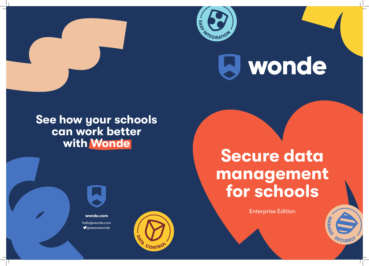





## See how your schools can work better with Wonde

wonde.com hello@wonde.com **V**@wearewonde







# J wonde

Enterprise Edition



## Secure data management for schools